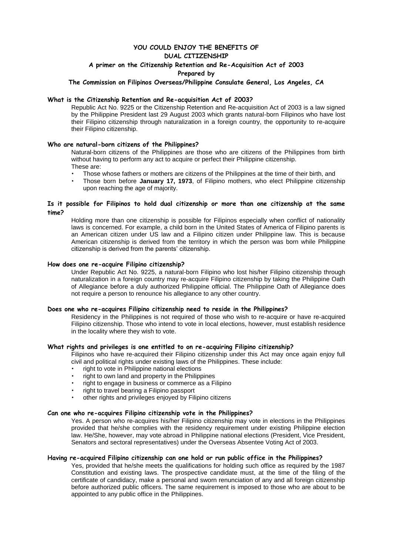# **YOU COULD ENJOY THE BENEFITS OF**

## **DUAL CITIZENSHIP**

### **A primer on the Citizenship Retention and Re-Acquisition Act of 2003**

#### **Prepared by**

#### **The Commission on Filipinos Overseas/Philippine Consulate General, Los Angeles, CA**

#### **What is the Citizenship Retention and Re-acquisition Act of 2003?**

Republic Act No. 9225 or the Citizenship Retention and Re-acquisition Act of 2003 is a law signed by the Philippine President last 29 August 2003 which grants natural-born Filipinos who have lost their Filipino citizenship through naturalization in a foreign country, the opportunity to re-acquire their Filipino citizenship.

#### **Who are natural-born citizens of the Philippines?**

Natural-born citizens of the Philippines are those who are citizens of the Philippines from birth without having to perform any act to acquire or perfect their Philippine citizenship. These are:

- Those whose fathers or mothers are citizens of the Philippines at the time of their birth, and
- Those born before **January 17, 1973**, of Filipino mothers, who elect Philippine citizenship upon reaching the age of majority.

#### **Is it possible for Filipinos to hold dual citizenship or more than one citizenship at the same time?**

Holding more than one citizenship is possible for Filipinos especially when conflict of nationality laws is concerned. For example, a child born in the United States of America of Filipino parents is an American citizen under US law and a Filipino citizen under Philippine law. This is because American citizenship is derived from the territory in which the person was born while Philippine citizenship is derived from the parents' citizenship.

#### **How does one re-acquire Filipino citizenship?**

Under Republic Act No. 9225, a natural-born Filipino who lost his/her Filipino citizenship through naturalization in a foreign country may re-acquire Filipino citizenship by taking the Philippine Oath of Allegiance before a duly authorized Philippine official. The Philippine Oath of Allegiance does not require a person to renounce his allegiance to any other country.

#### **Does one who re-acquires Filipino citizenship need to reside in the Philippines?**

Residency in the Philippines is not required of those who wish to re-acquire or have re-acquired Filipino citizenship. Those who intend to vote in local elections, however, must establish residence in the locality where they wish to vote.

#### **What rights and privileges is one entitled to on re-acquiring Filipino citizenship?**

Filipinos who have re-acquired their Filipino citizenship under this Act may once again enjoy full civil and political rights under existing laws of the Philippines. These include:

- right to vote in Philippine national elections
- right to own land and property in the Philippines
- right to engage in business or commerce as a Filipino
- right to travel bearing a Filipino passport
- other rights and privileges enjoyed by Filipino citizens

#### **Can one who re-acquires Filipino citizenship vote in the Philippines?**

Yes. A person who re-acquires his/her Filipino citizenship may vote in elections in the Philippines provided that he/she complies with the residency requirement under existing Philippine election law. He/She, however, may vote abroad in Philippine national elections (President, Vice President, Senators and sectoral representatives) under the Overseas Absentee Voting Act of 2003.

#### **Having re-acquired Filipino citizenship can one hold or run public office in the Philippines?**

Yes, provided that he/she meets the qualifications for holding such office as required by the 1987 Constitution and existing laws. The prospective candidate must, at the time of the filing of the certificate of candidacy, make a personal and sworn renunciation of any and all foreign citizenship before authorized public officers. The same requirement is imposed to those who are about to be appointed to any public office in the Philippines.